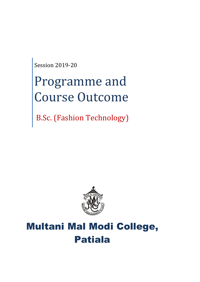Session 2019-20

# Programme and Course Outcome

B.Sc. (Fashion Technology)



## Multani Mal Modi College, Patiala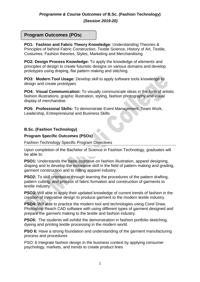### *Programme & Course Outcomes of* **B.Sc. (Fashion Technology)**

*(Session 2019-20)*

### **Program Outcomes (POs)**

**PO1: Fashion and Fabric Theory Knowledge:** Understanding Theories & Principles of behind Fabric Construction, Textile Science, History of Art, Textile, Costumes, Fashion theories, Styles, Marketing and Merchandising

**PO2: Design Process Knowledge:** To apply the knowledge of elements and principles of design to create futuristic designs on various domains and develop prototypes using draping, flat pattern making and stitching.

**PO3: Modern Tool Usage:** Develop skill to apply software tools knowledge to design and create prototypes

**PO4: Visual Communication:** To visually communicate ideas in the form of artistic fashion illustrations, graphic illustration, styling, fashion photography and visual display of merchandise.

**PO5: Professional Skills:** To demonstrate Event Management, Team Work, Leadership, Entrepreneurial and Business Skills

#### **B.Sc. (Fashion Technology)**

#### **Program Specific Outcomes (PSOs)**

Fashion Technology Specific Program Objectives

Upon completion of the Bachelor of Science in Fashion Technology, graduates will be able to:

**PSO1:** Understands the basic cognitive on fashion illustration, apparel designing, draping and to develop the innovative skill in the field of pattern making and grading, garment construction and to rolling apparel industry.

**PSO2:** To skill orientation through learning the procedures of the pattern drafting, pattern cutting, and process of fabric formation and construction of garments to textile industry.

**PSO3:** Will able to apply their updated knowledge of current trends of fashion in the creation of innovative design to produce garment to the modern textile industry.

**PSO4:** Will able to practice the modern tool and technologies using Corel Draw, Photoshop Reach CAD software with using different types of garment designed and prepare the garment making to the textile and fashion industry.

**PSO5:** The students will exhibit the demonstration in fashion portfolio sketching, dyeing and printing textile processing in the modern world.

**PSO 6:** Have a strong foundation and understanding of the garment manufacturing process and procedures

PSO: 6 Integrate fashion design in the business context by applying consumer psychology, markets, and trends to create product lines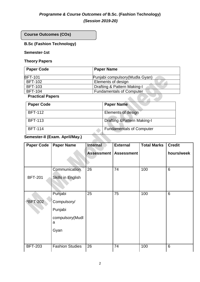### *Programme & Course Outcomes of* **B.Sc. (Fashion Technology)**

*(Session 2019-20)*

**Course Outcomes (COs)**

### **B.Sc (Fashion Technology)**

### **Semester-1st**

### **Theory Papers**

| <b>Paper Code</b>       | <b>Paper Name</b>               |
|-------------------------|---------------------------------|
| <b>BFT-101</b>          | Punjabi compulsory (Mudla Gyan) |
| <b>BFT-102</b>          | Elements of design              |
| <b>BFT-103</b>          | Drafting & Pattern Making-I     |
| <b>BFT-104</b>          | <b>Fundamentals of Computer</b> |
| <b>Practical Papers</b> |                                 |

#### **Practical Papers**

| <b>Paper Code</b> | <b>Paper Name</b>                      |
|-------------------|----------------------------------------|
| <b>BFT-112</b>    | <b>Elements of design</b>              |
| <b>BFT-113</b>    | <b>Drafting &amp; Pattern Making-I</b> |
| <b>BFT-114</b>    | <b>Fundamentals of Computer</b>        |

### **Semester-II (Exam. April/May.)**

| <b>Paper Code</b> | <b>Paper Name</b>        | <b>Internal</b>   | <b>External</b>   | <b>Total Marks</b> | <b>Credit</b>   |
|-------------------|--------------------------|-------------------|-------------------|--------------------|-----------------|
|                   |                          | <b>Assessment</b> | <b>Assessment</b> |                    | hours/week      |
|                   |                          |                   |                   |                    |                 |
|                   | Communication            | 26                | 74                | 100                | $6\phantom{1}6$ |
| <b>BFT-201</b>    | <b>Skills in English</b> |                   |                   |                    |                 |
|                   | Punjabi                  | 25                | 75                | 100                | $6\phantom{1}6$ |
| *BFT-202          | Compulsory/              |                   |                   |                    |                 |
|                   | Punjabi                  |                   |                   |                    |                 |
|                   | compulsory(Mudl<br>a     |                   |                   |                    |                 |
|                   | Gyan                     |                   |                   |                    |                 |
|                   |                          |                   |                   |                    |                 |
| <b>BFT-203</b>    | <b>Fashion Studies</b>   | 26                | 74                | 100                | $6\phantom{1}6$ |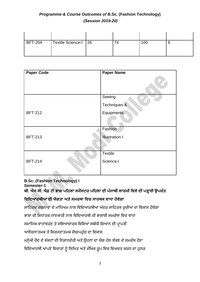| <b>BFT-204</b> | Textile Science-I   26 | 4 | 100 |  |
|----------------|------------------------|---|-----|--|

| <b>Paper Code</b> | <b>Paper Name</b>     |
|-------------------|-----------------------|
|                   |                       |
|                   | Sewing                |
|                   | Techniques &          |
| <b>BFT-212</b>    | Equipments            |
|                   |                       |
|                   | Fashion               |
| <b>BFT-213</b>    | <b>Illustration-I</b> |
|                   |                       |
|                   | <b>Textile</b>        |
| <b>BFT-214</b>    | Science-I             |
|                   |                       |

### **B.Sc. (Fashion Technology) I**

**Semester-1**

**ਬੀ. ਐਸ ਸੀ. ਐਫ਼ ਟੀ ਭਾਗ ਪਹਿਲਾ ਸਮੈਸਟਰ ਪਹਿਲਾ ਦੀ ਪੰ ਜਾਬੀ ਲਾਜ਼ਮੀ ਹਿਸ਼ੇਦੀ ਪੜ੍ਹਾਈ ਉਪਰੰ ਤ**

### **ਹਿਹਦਆਰਥੀਆਂਦੀ ਯੋਗਤਾ ਅਤੇਸਮਰਥਾ ਹਿਚ ਸਾਰਥਕ ਿਾਧਾ ਿੋਿੇਗਾ**

ਸਾਹਿਤਕ ਰਚਨਾਵਾਂ ਦੇ ਮਾਧਿਅਮ ਨਾਲ ਵਿਦਿਆਰਥੀਆਂ ਅੰਦਰ ਸਾਹਿਤਕ ਰੁਚੀਆਂ ਦਾ ਵਿਕਾਸ ਹੋਵੇਗਾ

ਭਾਸ਼ਾ ਦੀ ਸਿਧਾਂਤਕ ਜਾਣਕਾਰੀ ਨਾਲ ਵਿਦਿਆਰਥੀ ਦੀ ਭਾਸ਼ਾਈ ਸਮਰੱਥਾ ਵਿਚ ਵਾਧਾ

ਸਮਾਜਿਕ ਵਾਤਾਵਰਣ ਤੇ ਸਭਿਆਚਾਰਕ ਵਿਸ਼ਿਆਂ ਸਬੰਧੀ ਗਿਆਨ ਦੀ ਪ੍ਰਾਪਤੀ

ਆਲੋਚਨਾਤਮਕ ਤੇ ਸਿਰਜਣਾਤਮਕ ਸੋਚ/ਪਹੁੰਚ ਦਾ ਵਿਕਾਸ

ਮਨੁੱਖੀ ਹੋਂਦ ਦੇ ਸੰਕਟਾਂ ਦੀ ਨਿਸ਼ਾਨਦੇਹੀ ਅਤੇ ਉਹਨਾਂ ਦਾ ਯੋਗ ਹੱਲ ਲੱਭਣ ਦੇ ਸਮਰੱਥ ਹੋਣਾ

ਵਿਦਿਆਰਥੀ ਆਪਣੇ ਵਿਚਾਰਾਂ ਨੂੰ ਲਿਖਿਤ ਅਤੇ ਮੌਖਿਕ ਰੂਪ ਵਿਚ ਵਿਅਕਤ ਕਰਨ ਦਾ ਹੁਨਰ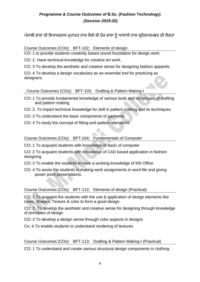ਪੰਜਾਬੀ ਭਾਸ਼ਾ ਦੀ ਵਿਆਕਰਨਕ ਮਹਾਰਤ ਨਾਲ ਕਿਸੇ ਵੀ ਹੋਰ ਭਾਸ਼ਾ ਨੰ ਆਸਾਨੀ ਨਾਲ ਗਹਿਣ/ਸਮਝਣ ਦੀ ਯੋਗਤਾ

### Course Outcomes (COs): BFT-102; Elements of design

CO: 1 to provide students creativity based sound foundation for design work.

CO: 2. Have technical knowledge for creative art work.

CO: 3 To develop the aesthetic and creative sense for designing fashion apparels

CO: 4 To develop a design vocabulary as an essential tool for practicing as designers.

. Course Outcomes (COs): BFT-103; Drafting & Pattern Making-I

- CO: 1 To provide fundamental knowledge of various tools and techniques of drafting and pattern making
- CO: 2. To impart technical knowledge for skill in pattern making and its techniques
- CO: 3 To understand the basic components of garments
- CO: 4 To study the concept of fitting and pattern alterations

Course Outcomes (COs): BFT-104; Fundamentals of Computer

CO: 1 To acquaint students with knowledge of basic of computer

CO: 2 To acquaint students with knowledge of CAD based application in fashion designing

- CO: 3 To enable the students to have a working knowledge of MS Office.
- CO: 4 To assist the students in making work assignments in word file and giving power point presentations.

### Course Outcomes (COs): BFT-112; Elements of design (Practical)

CO: 1 To acquaint the students with the use & application of design elements like Lines, Shapes, Texture & color to form a good design.

CO: 2. To develop the aesthetic and creative sense for designing through knowledge of principles of design

CO: 3 To develop a design sense through color aspects in designs

Co: 4 To enable students to understand rendering of textures

Course Outcomes (COs): BFT-113; Drafting & Pattern Making-I (Practical)

CO: 1 To understand and create various structural design components in clothing.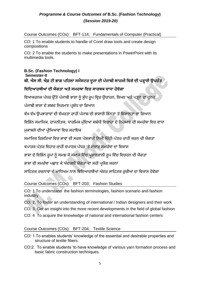### Course Outcomes (COs): BFT-114; Fundamentals of Computer (Practical)

CO: 1 To enable students to handle of Corel draw tools and create design compositions

CO: 2 To enable the students to make presentations in PowerPoint with its multimedia tools.

### **B.Sc. (Fashion Technology) I Semester-II ਬੀ. ਐਸ ਸੀ. ਐਫ਼ ਟੀ ਭਾਗ ਪਹਿਲਾ ਸਮੈਸਟਰ ਦੂਜਾ ਦੀ ਪੰ ਜਾਬੀ ਲਾਜ਼ਮੀ ਹਿਸ਼ੇਦੀ ਪੜ੍ਹਾਈ ਉਪਰੰ ਤ**

### **ਹਿਹਦਆਰਥੀਆਂਦੀ ਯੋਗਤਾ ਅਤੇਸਮਰਥਾ ਹਿਚ ਸਾਰਥਕ ਿਾਧਾ ਿੋਿੇਗਾ**

ਵਿਆਕਰਨਕ ਪੱਧਰ ਉੱਤੇ ਪੰਜਾਬੀ ਭਾਸ਼ਾ ਨੂੰ ਸ਼ੁੱਧ ਰੂਪ ਵਿਚ ਉਚਾਰਨ, ਲਿਖਣ ਅਤੇ ਪੜ੍ਹਨ ਦਾ ਹਨਰ

ਪੰਜਾਬੀ ਭਾਸ਼ਾ ਦੇ ਸ਼ਬਦ ਨਿਰਮਾਣ ਪ੍ਰਬੰਧ ਦਾ ਗਿਆਨ

ਵੱਖ ਵੱਖ ਉਪਭਾਸ਼ਾਵਾਂ ਦੀ ਵੱਖਰਤਾ ਰਾਹੀਂ ਪੰਜਾਬ ਦੀ ਭਾਸ਼ਾਈ ਭਿੰਨਤਾ ਤੇ ਵਿਸ਼ਾਲਤਾ ਦਾ ਗਿਆਨ

ਵਿਭਿੰਨ ਸਮਾਜਿਕ, ਰਾਜਨੀਤਕ, ਧਾਰਮਿਕ ਮੁੱਦਿਆਂ ਸਬੰਧੀ ਵਿਚਾਰਾਂ ਦੇ ਨਿਰਮਾਣ ਦੀ ਸਮਰੱਥਾ ਵਿਚ ਵਾਧਾ

ਮਕਾਬਲੇ ਦੀਆਂ ਪੀਖਿਆਵਾਂ ਵਿਚ ਸਹਾਇਕ

ਸਮਾਜਿਕ ਰਿਸ਼ਤਿਆਂ ਵਿਚ ਭਾਵਾਂ ਦੀ ਸਰਲ ਪੇਸ਼ਕਾਰੀ ਨਿਜੀ ਚਿੱਠੀ-ਪੱਤਰ ਰਾਹੀਂ ਕਰਨ ਦੀ ਯੋਗਤਾ

ਵਪਾਰਕ ਪੱਤਰ ਵਿਹਾਰ ਰਾਹੀਂ ਵਪਾਰਕ ਪੱਧਰ 'ਤੇ ਸੰਚਾਰ ਸਮਰੱਥਾ ਦਾ ਵਿਕਾਸ

ਭਾਸ਼ਾ ਦੇ ਵਿਭਿੰਨ ਰਪਾਂ ਨੰ ਸਮਝ ਕੇ ਸਮਾਜ ਵਿੱਚ ਪ੍ਰਭਾਵਸ਼ਾਲੀ ਰਪ ਵਿੱਚ ਵਿਚਰਨ ਦੀ ਯੋਗਤਾ

ਭਾਸ਼ਾ ਦੀ ਸਮਰੱਥਾ ਪਛਾਣ ਕੇ ਅੰਦਰਲੀ ਯੋਗਤਾ ਦਾ ਸਹੀ ਪਯੋਗ ਕਰਨਾ

ਸਾਹਿਤਕ ਰਚਨਾਵਾਂ ਦੇ ਮਾਧਿਅਮ ਨਾਲ ਵਿਦਿਆਰਥੀਆਂ ਅੰਦਰ ਸਾਹਿਤਕ ਰਚੀਆਂ ਦਾ ਵਿਕਾਸ ਹੋਵੇਗਾ

### Course Outcomes (COs): BFT-203; Fashion Studies

CO: 1 To understand the fashion terminologies, fashion scenario and fashion industry

CO: 2. To foster an understanding of international / Indian designers and their work

CO: 3. Get an insight into the more recent developments in the field of global fashion

CO: 4 To acquire the knowlwdge of national and international fashion centers

### Course Outcomes (COs): BFT-204; Textile Science

- CO: 1.To enables students' knowledge of the essential and desirable properties and structure of textile fibers.
- CO:2. To enable students 'to have knowledge of various yarn formation process and basic fabric construction techniques.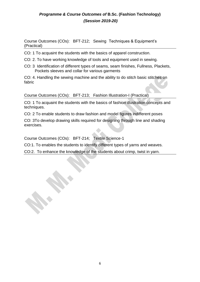Course Outcomes (COs): BFT-212; Sewing Techniques & Equipment's (Practical)

CO: 1 To acquaint the students with the basics of apparel construction.

- CO: 2. To have working knowledge of tools and equipment used in sewing.
- CO: 3 Identification of different types of seams, seam finishes, Fullness, Plackets, Pockets sleeves and collar for various garments

CO: 4. Handling the sewing machine and the ability to do stitch basic stitches on fabric

Course Outcomes (COs): BFT-213; Fashion Illustration-I (Practical)

CO: 1 To acquaint the students with the basics of fashion illustration concepts and techniques.

CO: 2 To enable students to draw fashion and model figures indifferent poses

CO: 3To develop drawing skills required for designing through line and shading exercises.

Course Outcomes (COs): BFT-214; Textile Science-1

CO:1. To enables the students to identify different types of yarns and weaves.

CO:2. To enhance the knowledge of the students about crimp, twist in yarn.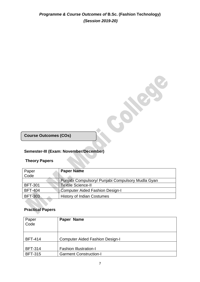**Course Outcomes (COs)**

### **Semester-III (Exam: November/December)**

### **Theory Papers**

| Paper          | <b>Paper Name</b>                                 |
|----------------|---------------------------------------------------|
| Code           |                                                   |
|                | Punjabi Compulsory/ Punjabi Compulsory Mudla Gyan |
| <b>BFT-301</b> | <b>Textile Science-II</b>                         |
| <b>BFT-404</b> | Computer Aided Fashion Design-I                   |
| <b>BFT-303</b> | <b>History of Indian Costumes</b>                 |

Colores C

### **Practical Papers**

| Paper<br>Code  | Paper Name                             |
|----------------|----------------------------------------|
| <b>BFT-414</b> | <b>Computer Aided Fashion Design-I</b> |
| <b>BFT-314</b> | <b>Fashion Illustration-I</b>          |
| <b>BFT-315</b> | <b>Garment Construction-I</b>          |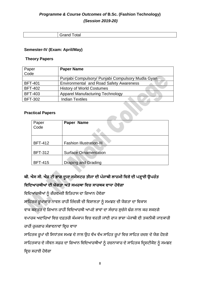### *Programme & Course Outcomes of* **B.Sc. (Fashion Technology)**

### *(Session 2019-20)*

| ๊ |
|---|
|   |

#### **Semester-IV (Exam: April/May)**

#### **Theory Papers**

| Paper          | <b>Paper Name</b>                                 |
|----------------|---------------------------------------------------|
| Code           |                                                   |
|                | Punjabi Compulsory/ Punjabi Compulsory Mudla Gyan |
| <b>BFT-401</b> | <b>Environmental and Road Safety Awareness</b>    |
| <b>BFT-402</b> | <b>History of World Costumes</b>                  |
| <b>BFT-403</b> | <b>Apparel Manufacturing Technology</b>           |
| <b>BFT-302</b> | <b>Indian Textiles</b>                            |

### **Practical Papers**

| Paper<br>Code  | Paper Name                      |
|----------------|---------------------------------|
|                |                                 |
| <b>BFT-412</b> | <b>Fashion Illustration-III</b> |
|                |                                 |
| <b>BFT-312</b> | <b>Surface Ornamentation</b>    |
|                |                                 |
| <b>BFT-415</b> | <b>Draping and Grading</b>      |

### **ਬੀ. ਐਸ ਸੀ. ਐਫ਼ ਟੀ ਭਾਗ ਦੂਜਾ ਸਮੈਸਟਰ ਤੀਜਾ ਦੀ ਪੰ ਜਾਬੀ ਲਾਜ਼ਮੀ ਹਿਸ਼ੇਦੀ ਪੜ੍ਹਾਈ ਉਪਰੰ ਤ ਹਿਹਦਆਰਥੀਆਂਦੀ ਯੋਗਤਾ ਅਤੇਸਮਰਥਾ ਹਿਚ ਸਾਰਥਕ ਿਾਧਾ ਿੋਿੇਗਾ**

ਵਿਦਿਆਰਥੀਆਂ ਨੂੰ ਗੌਰਵਮਈ ਇਤਿਹਾਸ ਦਾ ਗਿਆਨ ਹੋਵੇਗਾ

ਸਾਹਿਤਕ ਰੁਪਾਕਾਰ ਨਾਵਲ ਰਾਹੀਂ ਜ਼ਿੰਦਗੀ ਦੀ ਵਿਸ਼ਾਲਤਾ ਨੂੰ ਸਮਝਣ ਦੀ ਯੋਗਤਾ ਦਾ ਵਿਕਾਸ

ਵਾਕ ਬਣਤਰ ਦੇ ਗਿਆਨ ਰਾਹੀਂ ਵਿਦਿਆਰਥੀ ਆਪਣੇ ਭਾਵਾਂ ਦਾ ਸੰਚਾਰ ਸੁਚੱਜੇ ਢੰਗ ਨਾਲ ਕਰ ਸਕਣਗੇ ਵਪਾਰਕ ਅਦਾਰਿਆਂ ਵਿਚ ਦਫ਼ਤਰੀ ਕੰਮਕਾਜ ਵਿਚ ਵਰਤੀ ਜਾਂਦੀ ਰਾਜ ਭਾਸ਼ਾ ਪੰਜਾਬੀ ਦੀ ਤਕਨੀਕੀ ਜਾਣਕਾਰੀ ਰਾਹੀਂ ਰੁਜ਼ਗਾਰ ਸੰਭਾਵਨਾਵਾਂ ਵਿਚ ਵਾਧਾ

ਸਾਹਿਤਕ ਰੂਪਾਂ ਦੀ ਸਿਧਾਂਤਕ ਸਮਝ ਦੇ ਨਾਲ ਉਹ ਵੱਖ ਵੱਖ ਸਾਹਿਤ ਰੂਪਾਂ ਵਿਚ ਸਾਹਿਤ ਰਚਣ ਦੇ ਯੋਗ ਹੋਣਗੇ ਸਾਹਿਤਕਾਰ ਦੇ ਜੀਵਨ ਸਫ਼ਰ ਦਾ ਗਿਆਨ ਵਿਦਿਆਰਥੀਆਂ ਨੂੰ ਰਚਨਾਕਾਰ ਦੇ ਸਾਹਿਤਕ ਦ੍ਰਿਸ਼ਟੀਕੋਣ ਨੂੰ ਸਮਝਣ ਵਿਚ ਸਹਾਈ ਹੋਵੇਗਾ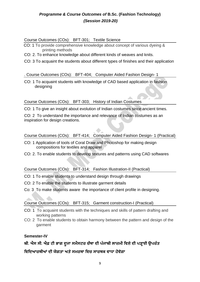#### Course Outcomes (COs): BFT-301; Textile Science

- CO: 1 To provide comprehensive knowledge about concept of various dyeing & printing methods
- CO: 2. To enhance knowledge about different kinds of weaves and knits.
- CO: 3 To acquaint the students about different types of finishes and their application

#### . Course Outcomes (COs): BFT-404; Computer Aided Fashion Design- 1

CO: 1 To acquaint students with knowledge of CAD based application in fashion designing

### Course Outcomes (COs): BFT-303; History of Indian Costumes

CO: 1 To give an insight about evolution of Indian costumes since ancient times.

CO: 2 To understand the importance and relevance of Indian costumes as an inspiration for design creations.

Course Outcomes (COs): BFT-414; Computer Aided Fashion Design- 1 (Practical)

- CO: 1 Application of tools of Coral Draw and Photoshop for making design compositions for textiles and apparel
- CO: 2. To enable students to develop textures and patterns using CAD softwares

### Course Outcomes (COs): BFT-314; Fashion Illustration-II (Practical)

- CO: 1 To enable students to understand design through drawings
- CO: 2 To enable the students to illustrate garment details
- Co: 3 To make students aware the importance of client profile in designing.

### Course Outcomes (COs): BFT-315; Garment construction-I (Practical)

- CO: 1 To acquaint students with the techniques and skills of pattern drafting and working patterns
- CO: 2 To enable students to obtain harmony between the pattern and design of the garment

### **Semester-IV**

### **ਬੀ. ਐਸ ਸੀ. ਐਫ਼ ਟੀ ਭਾਗ ਦੂਜਾ ਸਮੈਸਟਰ ਚੌਥਾ ਦੀ ਪੰ ਜਾਬੀ ਲਾਜ਼ਮੀ ਹਿਸ਼ੇਦੀ ਪੜ੍ਹਾਈ ਉਪਰੰ ਤ**

**ਹਿਹਦਆਰਥੀਆਂ ਦੀ ਯੋਗਤਾ ਅਤੇਸਮਰਥਾ ਹਿਚ ਸਾਰਥਕ ਿਾਧਾ ਿੋਿੇਗਾ**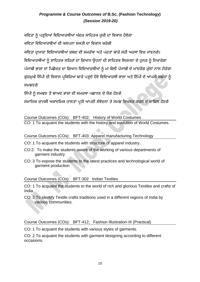ਕਵਿਤਾ ਨੰ ਪੜਦਿਆਂ ਵਿਦਿਆਰਥੀਆਂ ਅੰਦਰ ਸਾਹਿਤਕ ਰਚੀ ਦਾ ਵਿਕਾਸ ਹੋਵੇਗਾ

ਕਵਿਤਾ ਵਿਦਿਆਰਥੀਆਂ ਦੀ ਕਲਪਨਾ ਸ਼ਕਤੀ ਦਾ ਵਿਕਾਸ ਕਰੇਗੀ

ਕਵਿਤਾ ਦੁਆਰਾ ਵਿਦਿਆਰਥੀਆਂ ਸ਼ਬਦ ਦੀ ਸਮਰੱਥਾ ਅਤੇ ਪਰਤਾਂ ਬਾਰੇ ਸਹੀ ਅਰਥਾਂ ਵਿਚ ਜਾਣਨਗੇ।

ਵਿਦਿਆਰਥੀਆਂ ਨੰ ਸਾਹਿਤਕ ਲਹਿਰਾਂ ਦਾ ਗਿਆਨ ਉਹਨਾਂ ਦੀ ਸਾਹਿਤਕ ਸਿਰਜਣਾ ਦੇ ਹਨਰ ਨੰ ਨਿਖਾਰੇਗਾ

ਪੰਜਾਬੀ ਭਾਸ਼ਾ ਦਾ ਪਿਛੋਕੜ ਦਾ ਗਿਆਨ ਵਿਦਿਆਰਥੀਆਂ ਨੰ ਮਾਂ ਬੋਲੀ ਪੰਜਾਬੀ ਦੇ ਮਾਣਯੋਗ ਮੱਲਾਂ ਨਾਲ ਜੋੜੇਗਾ

ਗੁਰਮੁਖੀ ਲਿੱਪੀ ਦੀ ਵਿਕਾਸ ਪ੍ਰਕਿਰਿਆ ਬਾਰੇ ਪੜ੍ਹਦੇ ਹੋਏ ਵਿਦਿਆਰਥੀ ਭਾਸ਼ਾ ਅਤੇ ਲਿੱਪੀ ਦੇ ਆਪਸੀ ਸਬੰਧਾਂ ਨੂੰ ਸਮਝਣਗੇ

ਲਿੱਪੀ ਨੂੰ ਸਮਝਣ ਤੋਂ ਬਾਅਦ ਭਾਸ਼ਾ ਦੀ ਸਮਰਥਾ ਪਛਾਨਣ ਦੇ ਯੋਗ ਹੋਣਗੇ

ਸਮਾਜਿਕ ਰਾਜਸੀ ਅਕਾਦਮਿਕ ਹਾਲਤਾਂ ਪ੍ਰਤੀ ਆਪਣੀ ਸੰਵੇਦਨਾ ਤੇ ਸਮਝ ਵਿਅਕਤ ਕਰਨ ਦੇ ਕਾਬਿਲ ਹੋਣਗੇ

### Course Outcomes (COs): BFT-402; History of World Costumes

CO: 1 To acquaint the students with the history and evolution of World Costumes.

Course Outcomes (COs): BFT-403: Apparel manufacturing Technology

- CO: 1.To acquaint the students with structure of apparel industry..
- CO:2. To make the students aware of the working of various departments of garment industry
- CO: 3 To expose the students to the latest practices and technological world of garment production

### Course Outcomes (COs): BFT-302 Indian Textiles

CO: 1 To acquaint the students to the world of rich and glorious Textiles and crafts of India.

CO: 2 To identify Textile crafts traditions used in a different regions of India by various communities.

### Course Outcomes (COs): BFT-412; Fashion Illustration-III (Practical)

CO: 1 To acquaint the students with various styles of garments.

CO: 2 To acquaint the students with garment designing according to different occasions.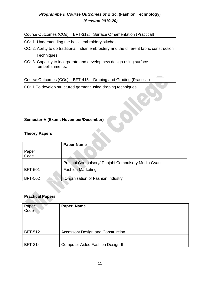Course Outcomes (COs): BFT-312; Surface Ornamentation (Practical)

- CO: 1. Understanding the basic embroidery stitches
- CO: 2. Ability to do traditional Indian embroidery and the different fabric construction **Techniques**
- CO: 3. Capacity to incorporate and develop new design using surface embellishments.

Course Outcomes (COs): BFT-415; Draping and Grading (Practical)

CO: 1 To develop structured garment using draping techniques

### **Semester-V (Exam: November/December)**

### **Theory Papers**

|                | <b>Paper Name</b>                                 |
|----------------|---------------------------------------------------|
| Paper<br>Code  |                                                   |
|                | Punjabi Compulsory/ Punjabi Compulsory Mudla Gyan |
| <b>BFT-501</b> | <b>Fashion Marketing</b>                          |
| <b>BFT-502</b> | Organisation of Fashion Industry                  |

### **Practical Papers**

| Paper<br>Code  | Paper Name                               |
|----------------|------------------------------------------|
| <b>BFT-512</b> | <b>Accessory Design and Construction</b> |
| <b>BFT-314</b> | <b>Computer Aided Fashion Design-II</b>  |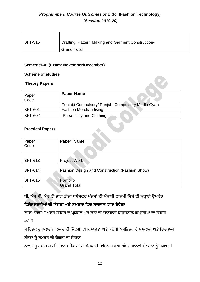| BFT-315 | Drafting, Pattern Making and Garment Construction-I |
|---------|-----------------------------------------------------|
|         | <b>Grand Total</b>                                  |

### **Semester-VI (Exam: November/December)**

### **Scheme of studies**

### **Theory Papers**

| Paper<br>Code  | <b>Paper Name</b>                                 |
|----------------|---------------------------------------------------|
|                | Punjabi Compulsory/ Punjabi Compulsory Mudla Gyan |
| <b>BFT-601</b> | <b>Fashion Merchandising</b>                      |
| <b>BFT-602</b> | <b>Personality and Clothing</b>                   |

### **Practical Papers**

| Paper<br>Code  | Paper Name                                     |
|----------------|------------------------------------------------|
| <b>BFT-613</b> | <b>Project Work</b>                            |
| <b>BFT-614</b> | Fashion Design and Construction (Fashion Show) |
| <b>BFT-615</b> | Portfolio                                      |
|                | <b>Grand Total</b>                             |

### **ਬੀ. ਐਸ ਸੀ. ਐਫ਼ ਟੀ ਭਾਗ ਤੀਜਾ ਸਮੈਸਟਰ ਪੰ ਜਿਾਂ ਦੀ ਪੰ ਜਾਬੀ ਲਾਜ਼ਮੀ ਹਿਸ਼ੇਦੀ ਪੜ੍ਹਾਈ ਉਪਰੰ ਤ ਹਿਹਦਆਰਥੀਆਂ ਦੀ ਯੋਗਤਾ ਅਤੇਸਮਰਥਾ ਹਿਚ ਸਾਰਥਕ ਿਾਧਾ ਿੋਿੇਗਾ**

ਵਿਦਿਆਰਥੀਆਂ ਅੰਦਰ ਸਾਹਿਤ ਦੇ ਪ੍ਰਯੋਜਨ ਅਤੇ ਤੱਤਾਂ ਦੀ ਜਾਣਕਾਰੀ ਸਿਰਜਣਾਤਮਕ ਰੁਚੀਆਂ ਦਾ ਵਿਕਾਸ ਕਰੇਗੀ

ਸਾਹਿਤਕ ਰੂਪਾਕਾਰ ਨਾਵਲ ਰਾਹੀਂ ਜ਼ਿੰਦਗੀ ਦੀ ਵਿਸ਼ਾਲਤਾ ਅਤੇ ਮਨੁੱਖੀ ਅਸਤਿਤਵ ਦੇ ਸਮਕਾਲੀ ਅਤੇ ਚਿਰਕਾਲੀ ਸੰਕਟਾਂ ਨੂੰ ਸਮਝਣ ਦੀ ਯੋਗਤਾ ਦਾ ਵਿਕਾਸ

ਨਾਵਲ ਰੂਪਾਕਾਰ ਰਾਹੀੰ ਜੀਵਨ ਸਰੋਕਾਰਾਂ ਦੀ ਪੇਸ਼ਕਾਰੀ ਵਿਦਿਆਰਥੀਆਂ ਅੰਦਰ ਮਾਨਵੀ ਸੰਵੇਦਨਾ ਨੂੰ ਜਗਾਏਗੀ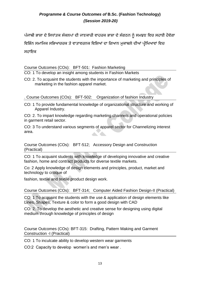ਪੰਜਾਬੀ ਭਾਸ਼ਾ ਦੇ ਸਿਧਾਂਤਕ ਸੰਕਲਪਾਂ ਦੀ ਜਾਣਕਾਰੀ ਵਾਹਰਕ ਭਾਸ਼ਾ ਦੇ ਸੰਗਠਨ ਨੰ ਸਮਝਣ ਵਿਚ ਸਹਾਈ ਹੋਵੇਗਾ

ਵਿਭਿੰਨ ਸਮਾਜਿਕ ਸਭਿਆਚਰਕ ਤੇ ਵਾਤਾਵਰਨਕ ਵਿਸ਼ਿਆਂ ਦਾ ਗਿਆਨ ਮਕਾਬਲੇ ਦੀਆਂ ਪੀਖਿਆਵਾਂ ਵਿਚ

### ਸਹਾਇਕ

Course Outcomes (COs): BFT-501: Fashion Marketing

CO: 1 To develop an insight among students in Fashion Markets

CO: 2. To acquaint the students with the importance of marketing and principles of marketing in the fashion apparel market.

. Course Outcomes (COs): BFT-502: Organization of fashion Industry

CO: 1 To provide fundamental knowledge of organizational structure and working of Apparel Industry.

CO: 2. To impart knowledge regarding marketing channels and operational policies in garment retail sector.

CO: 3 To understand various segments of apparel sector for Channelizing interest area.

Course Outcomes (COs): BFT-512; Accessory Design and Construction (Practical)

CO: 1 To acquaint students with knowledge of developing innovative and creative fashion, home and contract products for diverse textile markets.

Co: 2 Apply knowledge of design elements and principles, product, market and technology to critique of

fashion, textile and textile product design work.

Course Outcomes (COs): BFT-314; Computer Aided Fashion Design-II (Practical)

CO: 1 To acquaint the students with the use & application of design elements like Lines, Shapes, Texture & color to form a good design with CAD

CO: 2. To develop the aesthetic and creative sense for designing using digital medium through knowledge of principles of design

Course Outcomes (COs): BFT-315: Drafting, Pattern Making and Garment Construction -I (Practical)

CO: 1 To inculcate ability to develop western wear garments

CO:2 Capacity to develop women's and men's wear .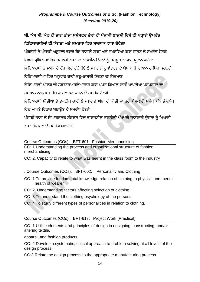### **ਬੀ. ਐਸ ਸੀ. ਐਫ਼ ਟੀ ਭਾਗ ਤੀਜਾ ਸਮੈਸਟਰ ਛੇਿਾਂ ਦੀ ਪੰ ਜਾਬੀ ਲਾਜ਼ਮੀ ਹਿਸ਼ੇਦੀ ਪੜ੍ਹਾਈ ਉਪਰੰ ਤ ਹਿਹਦਆਰਥੀਆਂ ਦੀ ਯੋਗਤਾ ਅਤੇਸਮਰਥਾ ਹਿਚ ਸਾਰਥਕ ਿਾਧਾ ਿੋਿੇਗਾ**

ਅੰਗਰੇਜ਼ੀ ਤੋਂ ਪੰਜਾਬੀ ਅਨਵਾਦ ਕਰਦੇ ਹੋਏ ਭਾਸ਼ਾਈ ਸਾਂਝਾਂ ਅਤੇ ਵਖਰੇਵਿਆਂ ਬਾਰੇ ਜਾਨਣ ਦੇ ਸਮਰੱਥ ਹੋਣਗੇ

ਸਿਵਲ ਪ੍ਰੀਖਿਆਵਾਂ ਵਿਚ ਪੰਜਾਬੀ ਭਾਸ਼ਾ ਦਾ ਅਧਿਐਨ ਉਹਨਾਂ ਨੂੰ ਮਜਬੂਤ ਆਧਾਰ ਪ੍ਰਦਾਨ ਕਰੇਗਾ

ਵਿਦਿਆਰਥੀ ਤਕਨੀਕ ਦੇ ਦੌਰ ਵਿਚ ਹੰਦੇ ਹੋਏ ਲੋਕਧਾਰਾਈ ਰਪਾਂਤਰਣ ਦੇ ਬੋਧ ਬਾਰੇ ਗਿਆਨ ਹਾਸਿਲ ਕਰਨਗੇ

ਵਿਦਿਆਰਥੀਆਂ ਵਿਚ ਅਨਵਾਦ ਰਾਹੀਂ ਬਹ-ਭਾਸ਼ਾਈ ਯੋਗਤਾ ਦਾ ਨਿਰਮਾਣ

ਵਿਦਿਆਰਥੀ ਪੰਜਾਬ ਦੀ ਲੋਕਧਾਰਾ/ਸਭਿਆਚਾਰ ਬਾਰੇ ਪ੍ਰਪਤ ਗਿਆਨ ਰਾਹੀਂ ਆਪਣੀਆਂ ਪਰੰਪਰਾਵਾਂ ਦਾ

ਸਮਕਾਲ ਨਾਲ ਵਰ ਮੇਚ ਕੇ ਮਲਾਂਕਣ ਕਰਨ ਦੇ ਸਮਰੱਥ ਹੋਣਗੇ

ਵਿਦਿਆਰਥੀ ਮੀਡੀਆ ਤੇ ਤਕਨੀਕ ਰਾਹੀਂ ਲੋਕਧਾਰਾਈ ਅੰਸ਼ਾਂ ਦੀ ਕੀਤੀ ਜਾ ਰਹੀ ਪੇਸ਼ਕਾਰੀ ਸਬੰਧੀ ਪੱਖ ਤੇਵਿਪੱਖ

ਵਿਚ ਆਪਣੇ ਵਿਚਾਰ ਬਣਾੳਣ ਦੇ ਸਮਰੱਥ ਹੋਣਗੇ

ਪੰਜਾਬੀ ਭਾਸ਼ਾ ਦੇ ਵਿਆਕਰਨਕ ਸੰਗਠਨ ਵਿਚ ਕਾਰਜਸ਼ੀਲ ਤਕਨੀਕੀ ਪੱਖਾਂ ਦੀ ਜਾਣਕਾਰੀ ਉਹਨਾਂ ਨੂੰ ਮਿਆਰੀ

ਭਾਸ਼ਾ ਸਿਰਜਣ ਦੇ ਸਮਰੱਥ ਬਣਾਏਗੀ

Course Outcomes (COs): BFT-601: Fashion Merchandising

CO: 1 Understanding the process and organizational structure of fashion merchandising.

CO: 2. Capacity to relate to what was learnt in the class room to the industry

. Course Outcomes (COs): BFT-602: Personality and Clothing

- CO: 1 To provide fundamental knowledge relation of clothing to physical and mental health of wearer
- CO: 2. Understanding factors affecting selection of clothing
- CO: 3 To understand the clothing psychology of the persons
- CO: 4 To study different types of personalities in relation to clothing.

Course Outcomes (COs): BFT-613; Project Work (Practical)

CO: 1 Utilize elements and principles of design in designing, constructing, and/or altering textile,

apparel, and fashion products.

CO: 2 Develop a systematic, critical approach to problem solving at all levels of the design process.

CO:3 Relate the design process to the appropriate manufacturing process.